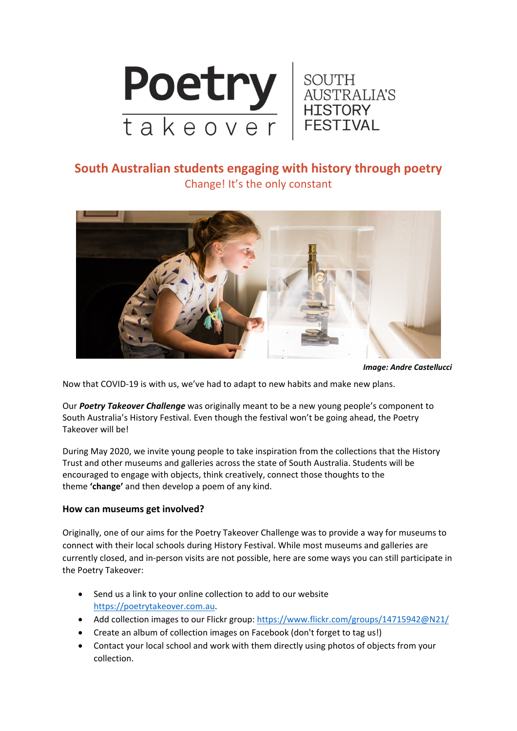

## **South Australian students engaging with history through poetry** Change! It's the only constant



*Image: Andre Castellucci*

Now that COVID‐19 is with us, we've had to adapt to new habits and make new plans.

Our *Poetry Takeover Challenge* was originally meant to be a new young people's component to South Australia's History Festival. Even though the festival won't be going ahead, the Poetry Takeover will be!

During May 2020, we invite young people to take inspiration from the collections that the History Trust and other museums and galleries across the state of South Australia. Students will be encouraged to engage with objects, think creatively, connect those thoughts to the theme **'change'** and then develop a poem of any kind.

### **How can museums get involved?**

Originally, one of our aims for the Poetry Takeover Challenge was to provide a way for museums to connect with their local schools during History Festival. While most museums and galleries are currently closed, and in‐person visits are not possible, here are some ways you can still participate in the Poetry Takeover:

- Send us a link to your online collection to add to our website https://poetrytakeover.com.au.
- Add collection images to our Flickr group: https://www.flickr.com/groups/14715942@N21/
- Create an album of collection images on Facebook (don't forget to tag us!)
- Contact your local school and work with them directly using photos of objects from your collection.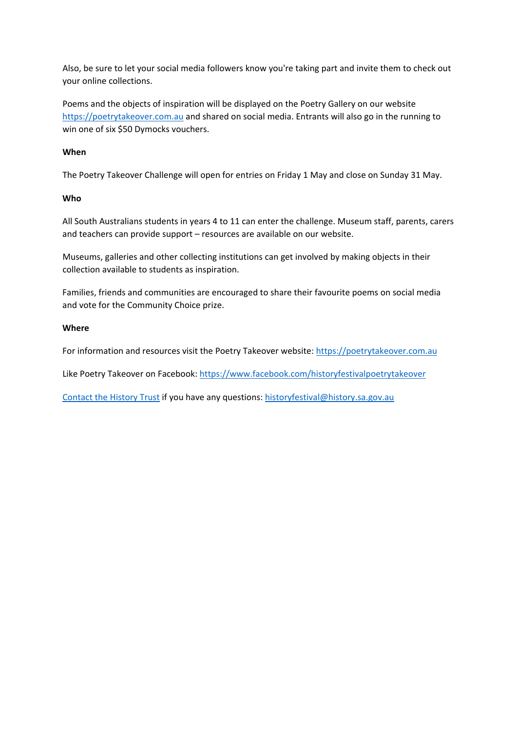Also, be sure to let your social media followers know you're taking part and invite them to check out your online collections.

Poems and the objects of inspiration will be displayed on the Poetry Gallery on our website https://poetrytakeover.com.au and shared on social media. Entrants will also go in the running to win one of six \$50 Dymocks vouchers.

#### **When**

The Poetry Takeover Challenge will open for entries on Friday 1 May and close on Sunday 31 May.

#### **Who**

All South Australians students in years 4 to 11 can enter the challenge. Museum staff, parents, carers and teachers can provide support – resources are available on our website.

Museums, galleries and other collecting institutions can get involved by making objects in their collection available to students as inspiration.

Families, friends and communities are encouraged to share their favourite poems on social media and vote for the Community Choice prize.

#### **Where**

For information and resources visit the Poetry Takeover website: https://poetrytakeover.com.au

Like Poetry Takeover on Facebook: https://www.facebook.com/historyfestivalpoetrytakeover

Contact the History Trust if you have any questions: historyfestival@history.sa.gov.au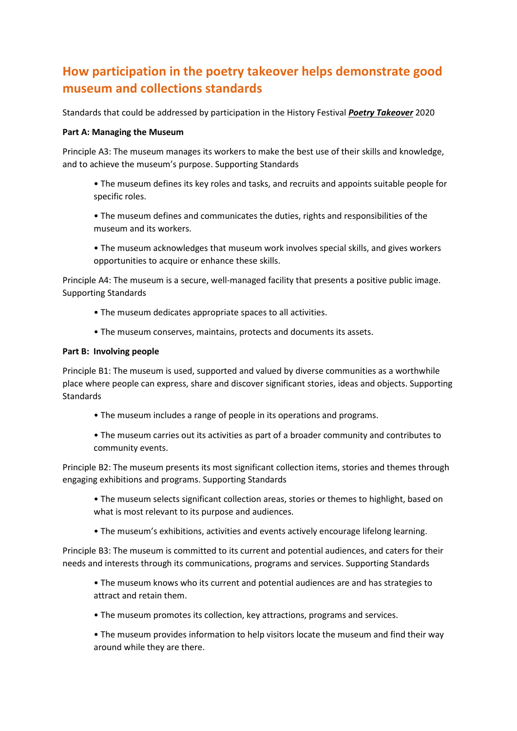# **How participation in the poetry takeover helps demonstrate good museum and collections standards**

Standards that could be addressed by participation in the History Festival *Poetry Takeover* 2020

#### **Part A: Managing the Museum**

Principle A3: The museum manages its workers to make the best use of their skills and knowledge, and to achieve the museum's purpose. Supporting Standards

- The museum defines its key roles and tasks, and recruits and appoints suitable people for specific roles.
- The museum defines and communicates the duties, rights and responsibilities of the museum and its workers.
- The museum acknowledges that museum work involves special skills, and gives workers opportunities to acquire or enhance these skills.

Principle A4: The museum is a secure, well-managed facility that presents a positive public image. Supporting Standards

- The museum dedicates appropriate spaces to all activities.
- The museum conserves, maintains, protects and documents its assets.

#### **Part B: Involving people**

Principle B1: The museum is used, supported and valued by diverse communities as a worthwhile place where people can express, share and discover significant stories, ideas and objects. Supporting **Standards** 

- The museum includes a range of people in its operations and programs.
- The museum carries out its activities as part of a broader community and contributes to community events.

Principle B2: The museum presents its most significant collection items, stories and themes through engaging exhibitions and programs. Supporting Standards

- The museum selects significant collection areas, stories or themes to highlight, based on what is most relevant to its purpose and audiences.
- The museum's exhibitions, activities and events actively encourage lifelong learning.

Principle B3: The museum is committed to its current and potential audiences, and caters for their needs and interests through its communications, programs and services. Supporting Standards

- The museum knows who its current and potential audiences are and has strategies to attract and retain them.
- The museum promotes its collection, key attractions, programs and services.
- The museum provides information to help visitors locate the museum and find their way around while they are there.